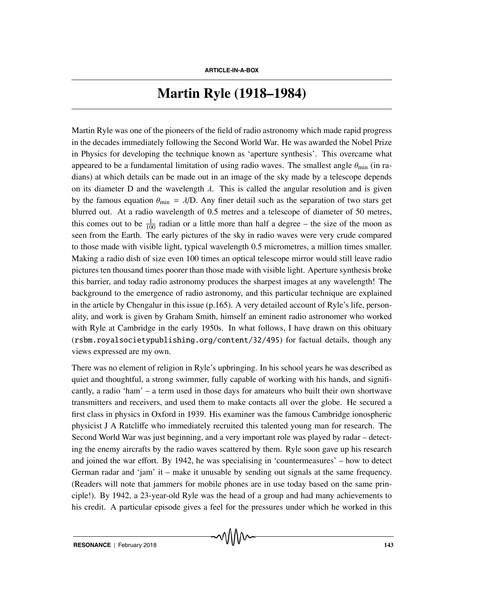## **Martin Ryle (1918–1984)**

Martin Ryle was one of the pioneers of the field of radio astronomy which made rapid progress in the decades immediately following the Second World War. He was awarded the Nobel Prize in Physics for developing the technique known as 'aperture synthesis'. This overcame what appeared to be a fundamental limitation of using radio waves. The smallest angle  $\theta_{\min}$  (in radians) at which details can be made out in an image of the sky made by a telescope depends on its diameter D and the wavelength  $\lambda$ . This is called the angular resolution and is given by the famous equation  $\theta_{\min} = \lambda/D$ . Any finer detail such as the separation of two stars get blurred out. At a radio wavelength of 0.5 metres and a telescope of diameter of 50 metres, this comes out to be  $\frac{1}{100}$  radian or a little more than half a degree – the size of the moon as seen from the Earth. The early pictures of the sky in radio waves were very crude compared to those made with visible light, typical wavelength 0.5 micrometres, a million times smaller. Making a radio dish of size even 100 times an optical telescope mirror would still leave radio pictures ten thousand times poorer than those made with visible light. Aperture synthesis broke this barrier, and today radio astronomy produces the sharpest images at any wavelength! The background to the emergence of radio astronomy, and this particular technique are explained in the article by Chengalur in this issue (p.165). A very detailed account of Ryle's life, personality, and work is given by Graham Smith, himself an eminent radio astronomer who worked with Ryle at Cambridge in the early 1950s. In what follows, I have drawn on this obituary (rsbm.royalsocietypublishing.org/content/32/495) for factual details, though any views expressed are my own.

There was no element of religion in Ryle's upbringing. In his school years he was described as quiet and thoughtful, a strong swimmer, fully capable of working with his hands, and significantly, a radio 'ham' – a term used in those days for amateurs who built their own shortwave transmitters and receivers, and used them to make contacts all over the globe. He secured a first class in physics in Oxford in 1939. His examiner was the famous Cambridge ionospheric physicist J A Ratcliffe who immediately recruited this talented young man for research. The Second World War was just beginning, and a very important role was played by radar – detecting the enemy aircrafts by the radio waves scattered by them. Ryle soon gave up his research and joined the war effort. By 1942, he was specialising in 'countermeasures' – how to detect German radar and 'jam' it – make it unusable by sending out signals at the same frequency. (Readers will note that jammers for mobile phones are in use today based on the same principle!). By 1942, a 23-year-old Ryle was the head of a group and had many achievements to his credit. A particular episode gives a feel for the pressures under which he worked in this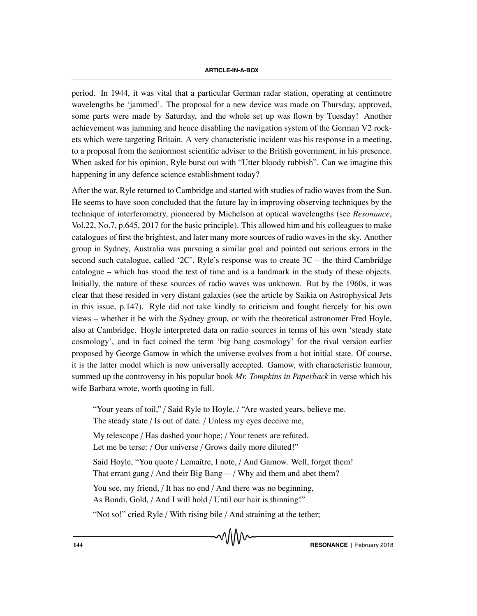period. In 1944, it was vital that a particular German radar station, operating at centimetre wavelengths be 'jammed'. The proposal for a new device was made on Thursday, approved, some parts were made by Saturday, and the whole set up was flown by Tuesday! Another achievement was jamming and hence disabling the navigation system of the German V2 rockets which were targeting Britain. A very characteristic incident was his response in a meeting, to a proposal from the seniormost scientific adviser to the British government, in his presence. When asked for his opinion, Ryle burst out with "Utter bloody rubbish". Can we imagine this happening in any defence science establishment today?

After the war, Ryle returned to Cambridge and started with studies of radio waves from the Sun. He seems to have soon concluded that the future lay in improving observing techniques by the technique of interferometry, pioneered by Michelson at optical wavelengths (see *Resonance*, Vol.22, No.7, p.645, 2017 for the basic principle). This allowed him and his colleagues to make catalogues of first the brightest, and later many more sources of radio waves in the sky. Another group in Sydney, Australia was pursuing a similar goal and pointed out serious errors in the second such catalogue, called '2C'. Ryle's response was to create  $3C$  – the third Cambridge catalogue – which has stood the test of time and is a landmark in the study of these objects. Initially, the nature of these sources of radio waves was unknown. But by the 1960s, it was clear that these resided in very distant galaxies (see the article by Saikia on Astrophysical Jets in this issue, p.147). Ryle did not take kindly to criticism and fought fiercely for his own views – whether it be with the Sydney group, or with the theoretical astronomer Fred Hoyle, also at Cambridge. Hoyle interpreted data on radio sources in terms of his own 'steady state cosmology', and in fact coined the term 'big bang cosmology' for the rival version earlier proposed by George Gamow in which the universe evolves from a hot initial state. Of course, it is the latter model which is now universally accepted. Gamow, with characteristic humour, summed up the controversy in his popular book *Mr. Tompkins in Paperback* in verse which his wife Barbara wrote, worth quoting in full.

"Your years of toil," / Said Ryle to Hoyle, / "Are wasted years, believe me. The steady state / Is out of date. / Unless my eyes deceive me,

My telescope / Has dashed your hope; / Your tenets are refuted. Let me be terse: / Our universe / Grows daily more diluted!"

Said Hoyle, "You quote / Lemaître, I note, / And Gamow. Well, forget them! That errant gang / And their Big Bang— / Why aid them and abet them?

√∖∖∖∧∽

You see, my friend, / It has no end / And there was no beginning,

As Bondi, Gold, / And I will hold / Until our hair is thinning!"

"Not so!" cried Ryle / With rising bile / And straining at the tether;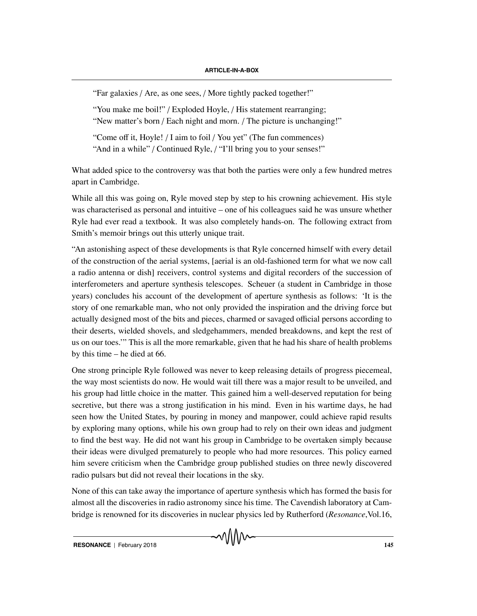"Far galaxies / Are, as one sees, / More tightly packed together!"

"You make me boil!" / Exploded Hoyle, / His statement rearranging;

"New matter's born / Each night and morn. / The picture is unchanging!"

"Come off it, Hoyle! / I aim to foil / You yet" (The fun commences)

"And in a while" / Continued Ryle, / "I'll bring you to your senses!"

What added spice to the controversy was that both the parties were only a few hundred metres apart in Cambridge.

While all this was going on, Ryle moved step by step to his crowning achievement. His style was characterised as personal and intuitive – one of his colleagues said he was unsure whether Ryle had ever read a textbook. It was also completely hands-on. The following extract from Smith's memoir brings out this utterly unique trait.

"An astonishing aspect of these developments is that Ryle concerned himself with every detail of the construction of the aerial systems, [aerial is an old-fashioned term for what we now call a radio antenna or dish] receivers, control systems and digital recorders of the succession of interferometers and aperture synthesis telescopes. Scheuer (a student in Cambridge in those years) concludes his account of the development of aperture synthesis as follows: 'It is the story of one remarkable man, who not only provided the inspiration and the driving force but actually designed most of the bits and pieces, charmed or savaged official persons according to their deserts, wielded shovels, and sledgehammers, mended breakdowns, and kept the rest of us on our toes.'" This is all the more remarkable, given that he had his share of health problems by this time – he died at 66.

One strong principle Ryle followed was never to keep releasing details of progress piecemeal, the way most scientists do now. He would wait till there was a major result to be unveiled, and his group had little choice in the matter. This gained him a well-deserved reputation for being secretive, but there was a strong justification in his mind. Even in his wartime days, he had seen how the United States, by pouring in money and manpower, could achieve rapid results by exploring many options, while his own group had to rely on their own ideas and judgment to find the best way. He did not want his group in Cambridge to be overtaken simply because their ideas were divulged prematurely to people who had more resources. This policy earned him severe criticism when the Cambridge group published studies on three newly discovered radio pulsars but did not reveal their locations in the sky.

None of this can take away the importance of aperture synthesis which has formed the basis for almost all the discoveries in radio astronomy since his time. The Cavendish laboratory at Cambridge is renowned for its discoveries in nuclear physics led by Rutherford (*Resonance*,Vol.16,

√∖∖∧∼